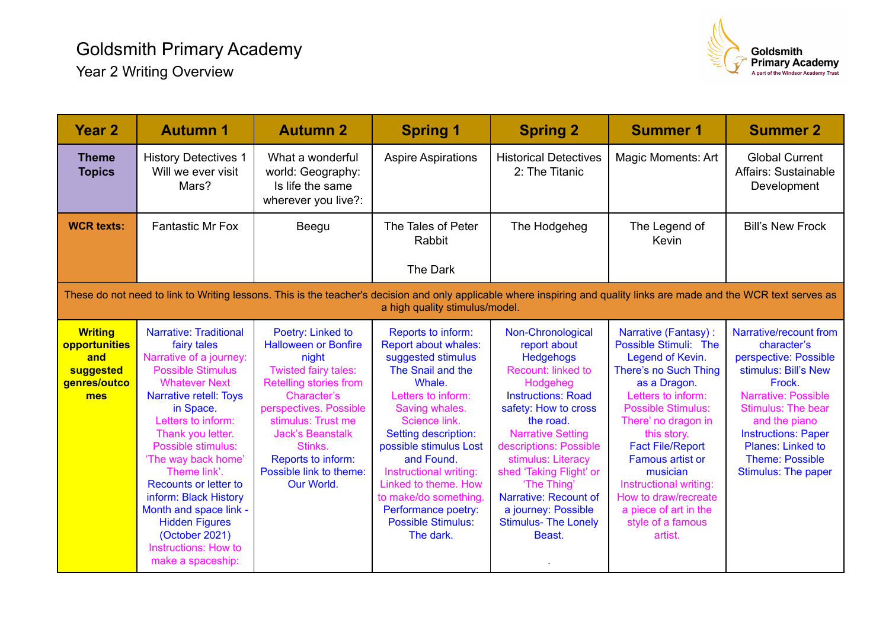

| Year <sub>2</sub>                                                                                                                                                                                        | <b>Autumn 1</b>                                                                                                                                                                                                                                                                                                                                                                                                                                       | <b>Autumn 2</b>                                                                                                                                                                                                                                                                 | <b>Spring 1</b>                                                                                                                                                                                                                                                                                                                                                     | <b>Spring 2</b>                                                                                                                                                                                                                                                                                                                                                                 | <b>Summer 1</b>                                                                                                                                                                                                                                                                                                                                                           | <b>Summer 2</b>                                                                                                                                                                                                                                                                  |  |  |  |
|----------------------------------------------------------------------------------------------------------------------------------------------------------------------------------------------------------|-------------------------------------------------------------------------------------------------------------------------------------------------------------------------------------------------------------------------------------------------------------------------------------------------------------------------------------------------------------------------------------------------------------------------------------------------------|---------------------------------------------------------------------------------------------------------------------------------------------------------------------------------------------------------------------------------------------------------------------------------|---------------------------------------------------------------------------------------------------------------------------------------------------------------------------------------------------------------------------------------------------------------------------------------------------------------------------------------------------------------------|---------------------------------------------------------------------------------------------------------------------------------------------------------------------------------------------------------------------------------------------------------------------------------------------------------------------------------------------------------------------------------|---------------------------------------------------------------------------------------------------------------------------------------------------------------------------------------------------------------------------------------------------------------------------------------------------------------------------------------------------------------------------|----------------------------------------------------------------------------------------------------------------------------------------------------------------------------------------------------------------------------------------------------------------------------------|--|--|--|
| <b>Theme</b><br><b>Topics</b>                                                                                                                                                                            | <b>History Detectives 1</b><br>Will we ever visit<br>Mars?                                                                                                                                                                                                                                                                                                                                                                                            | What a wonderful<br>world: Geography:<br>Is life the same<br>wherever you live?:                                                                                                                                                                                                | <b>Aspire Aspirations</b>                                                                                                                                                                                                                                                                                                                                           | <b>Historical Detectives</b><br>2: The Titanic                                                                                                                                                                                                                                                                                                                                  | Magic Moments: Art                                                                                                                                                                                                                                                                                                                                                        | <b>Global Current</b><br>Affairs: Sustainable<br>Development                                                                                                                                                                                                                     |  |  |  |
| <b>WCR texts:</b>                                                                                                                                                                                        | <b>Fantastic Mr Fox</b>                                                                                                                                                                                                                                                                                                                                                                                                                               | Beegu                                                                                                                                                                                                                                                                           | The Tales of Peter<br>Rabbit<br>The Dark                                                                                                                                                                                                                                                                                                                            | The Hodgeheg                                                                                                                                                                                                                                                                                                                                                                    | The Legend of<br>Kevin                                                                                                                                                                                                                                                                                                                                                    | <b>Bill's New Frock</b>                                                                                                                                                                                                                                                          |  |  |  |
| These do not need to link to Writing lessons. This is the teacher's decision and only applicable where inspiring and quality links are made and the WCR text serves as<br>a high quality stimulus/model. |                                                                                                                                                                                                                                                                                                                                                                                                                                                       |                                                                                                                                                                                                                                                                                 |                                                                                                                                                                                                                                                                                                                                                                     |                                                                                                                                                                                                                                                                                                                                                                                 |                                                                                                                                                                                                                                                                                                                                                                           |                                                                                                                                                                                                                                                                                  |  |  |  |
| <b>Writing</b><br>opportunities<br>and<br>suggested<br>genres/outco<br>mes                                                                                                                               | <b>Narrative: Traditional</b><br>fairy tales<br>Narrative of a journey:<br><b>Possible Stimulus</b><br><b>Whatever Next</b><br>Narrative retell: Toys<br>in Space.<br>Letters to inform:<br>Thank you letter.<br>Possible stimulus:<br>'The way back home'<br>Theme link'.<br><b>Recounts or letter to</b><br>inform: Black History<br>Month and space link -<br><b>Hidden Figures</b><br>(October 2021)<br>Instructions: How to<br>make a spaceship: | Poetry: Linked to<br><b>Halloween or Bonfire</b><br>night<br>Twisted fairy tales:<br>Retelling stories from<br>Character's<br>perspectives. Possible<br>stimulus: Trust me<br><b>Jack's Beanstalk</b><br>Stinks.<br>Reports to inform:<br>Possible link to theme:<br>Our World. | Reports to inform:<br>Report about whales:<br>suggested stimulus<br>The Snail and the<br>Whale.<br>Letters to inform:<br>Saving whales.<br>Science link.<br>Setting description:<br>possible stimulus Lost<br>and Found.<br>Instructional writing:<br>Linked to theme. How<br>to make/do something<br>Performance poetry:<br><b>Possible Stimulus:</b><br>The dark. | Non-Chronological<br>report about<br><b>Hedgehogs</b><br><b>Recount: linked to</b><br>Hodgeheg<br><b>Instructions: Road</b><br>safety: How to cross<br>the road.<br><b>Narrative Setting</b><br>descriptions: Possible<br>stimulus: Literacy<br>shed 'Taking Flight' or<br>'The Thing'<br>Narrative: Recount of<br>a journey: Possible<br><b>Stimulus- The Lonely</b><br>Beast. | Narrative (Fantasy):<br>Possible Stimuli: The<br>Legend of Kevin.<br>There's no Such Thing<br>as a Dragon.<br>Letters to inform:<br><b>Possible Stimulus:</b><br>There' no dragon in<br>this story.<br><b>Fact File/Report</b><br>Famous artist or<br>musician<br>Instructional writing:<br>How to draw/recreate<br>a piece of art in the<br>style of a famous<br>artist. | Narrative/recount from<br>character's<br>perspective: Possible<br>stimulus: Bill's New<br>Frock.<br><b>Narrative: Possible</b><br><b>Stimulus: The bear</b><br>and the piano<br><b>Instructions: Paper</b><br>Planes: Linked to<br><b>Theme: Possible</b><br>Stimulus: The paper |  |  |  |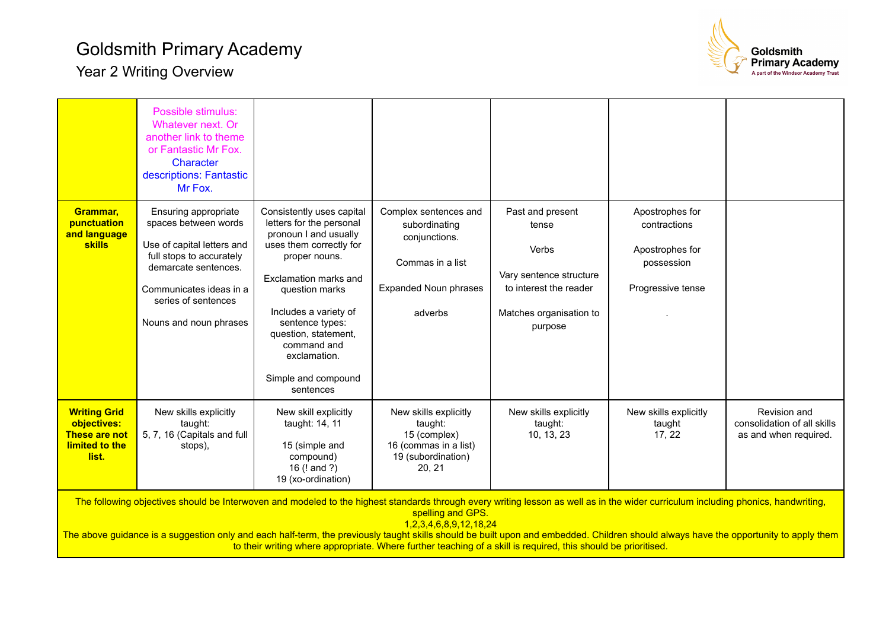## Goldsmith Primary Academy





|                                                                                                                                                                                                                                                                                                                                                                                                                                                                                                                                                       | Possible stimulus:<br>Whatever next. Or<br>another link to theme<br>or Fantastic Mr Fox.<br>Character<br>descriptions: Fantastic<br>Mr Fox.                                                                |                                                                                                                                                                                                                                                                                                              |                                                                                                                        |                                                                                                                               |                                                                                       |                                                                      |  |  |
|-------------------------------------------------------------------------------------------------------------------------------------------------------------------------------------------------------------------------------------------------------------------------------------------------------------------------------------------------------------------------------------------------------------------------------------------------------------------------------------------------------------------------------------------------------|------------------------------------------------------------------------------------------------------------------------------------------------------------------------------------------------------------|--------------------------------------------------------------------------------------------------------------------------------------------------------------------------------------------------------------------------------------------------------------------------------------------------------------|------------------------------------------------------------------------------------------------------------------------|-------------------------------------------------------------------------------------------------------------------------------|---------------------------------------------------------------------------------------|----------------------------------------------------------------------|--|--|
| Grammar,<br>punctuation<br>and language<br><b>skills</b>                                                                                                                                                                                                                                                                                                                                                                                                                                                                                              | Ensuring appropriate<br>spaces between words<br>Use of capital letters and<br>full stops to accurately<br>demarcate sentences.<br>Communicates ideas in a<br>series of sentences<br>Nouns and noun phrases | Consistently uses capital<br>letters for the personal<br>pronoun I and usually<br>uses them correctly for<br>proper nouns.<br>Exclamation marks and<br>question marks<br>Includes a variety of<br>sentence types:<br>question, statement,<br>command and<br>exclamation.<br>Simple and compound<br>sentences | Complex sentences and<br>subordinating<br>conjunctions.<br>Commas in a list<br><b>Expanded Noun phrases</b><br>adverbs | Past and present<br>tense<br>Verbs<br>Vary sentence structure<br>to interest the reader<br>Matches organisation to<br>purpose | Apostrophes for<br>contractions<br>Apostrophes for<br>possession<br>Progressive tense |                                                                      |  |  |
| <b>Writing Grid</b><br>objectives:<br>These are not<br>limited to the<br>list.                                                                                                                                                                                                                                                                                                                                                                                                                                                                        | New skills explicitly<br>taught:<br>5, 7, 16 (Capitals and full<br>stops),                                                                                                                                 | New skill explicitly<br>taught: 14, 11<br>15 (simple and<br>compound)<br>16 (! and ?)<br>19 (xo-ordination)                                                                                                                                                                                                  | New skills explicitly<br>taught:<br>15 (complex)<br>16 (commas in a list)<br>19 (subordination)<br>20, 21              | New skills explicitly<br>taught:<br>10, 13, 23                                                                                | New skills explicitly<br>taught<br>17, 22                                             | Revision and<br>consolidation of all skills<br>as and when required. |  |  |
| The following objectives should be Interwoven and modeled to the highest standards through every writing lesson as well as in the wider curriculum including phonics, handwriting,<br>spelling and GPS.<br>1, 2, 3, 4, 6, 8, 9, 12, 18, 24<br>The above guidance is a suggestion only and each half-term, the previously taught skills should be built upon and embedded. Children should always have the opportunity to apply them<br>to their writing where appropriate. Where further teaching of a skill is required, this should be prioritised. |                                                                                                                                                                                                            |                                                                                                                                                                                                                                                                                                              |                                                                                                                        |                                                                                                                               |                                                                                       |                                                                      |  |  |